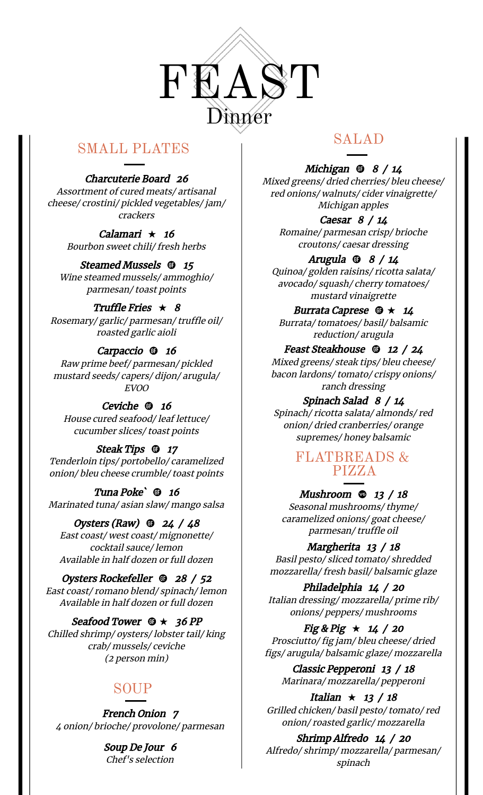

# SMALL PLATES

Charcuterie Board 26 Assortment of cured meats/ artisanal cheese/ crostini/ pickled vegetables/ jam/ crackers

> Calamari  $\star$  16 Bourbon sweet chili/ fresh herbs

Steamed Mussels  $\Phi$  15 Wine steamed mussels/ ammoghio/ parmesan/ toast points

Truffle Fries  $\star$  8 Rosemary/ garlic/ parmesan/ truffle oil/ roasted garlic aioli

Carpaccio ® 16 Raw prime beef/ parmesan/ pickled mustard seeds/ capers/ dijon/ arugula/ EVOO

Ceviche ® 16 House cured seafood/ leaf lettuce/ cucumber slices/ toast points

Steak Tips **17** Tenderloin tips/ portobello/ caramelized onion/ bleu cheese crumble/ toast points

Tuna Poke<sup>'</sup> **th** 16 Marinated tuna/ asian slaw/ mango salsa

Oysters (Raw)  $\Phi$  24 / 48 East coast/ west coast/ mignonette/ cocktail sauce/ lemon Available in half dozen or full dozen

Oysters Rockefeller  $\Phi$  28 / 52 East coast/ romano blend/ spinach/ lemon Available in half dozen or full dozen

Seafood Tower  $\oplus \star$  36 PP Chilled shrimp/ oysters/ lobster tail/ king crab/ mussels/ ceviche (2 person min)

# SOUP

French Onion 7 4 onion/ brioche/ provolone/ parmesan

> Soup De Jour 6 Chef's selection

## SALAD

Michigan  $\oplus$  8 / 14 Mixed greens/ dried cherries/ bleu cheese/ red onions/ walnuts/ cider vinaigrette/ Michigan apples

Caesar 8 / 14 Romaine/ parmesan crisp/ brioche croutons/ caesar dressing

Arugula  $\oplus$  8 / 14 Quinoa/ golden raisins/ ricotta salata/ avocado/ squash/ cherry tomatoes/ mustard vinaigrette

Burrata Caprese  $\mathbf{\Phi} \star 14$ Burrata/ tomatoes/ basil/ balsamic reduction/ arugula

Feast Steakhouse **12** / 24 Mixed greens/ steak tips/ bleu cheese/ bacon lardons/ tomato/ crispy onions/ ranch dressing

Spinach Salad 8 / 14 Spinach/ ricotta salata/ almonds/ red onion/ dried cranberries/ orange supremes/ honey balsamic

### FLATBREADS & PIZZA

Mushroom  $\otimes$  13 / 18 Seasonal mushrooms/ thyme/ caramelized onions/ goat cheese/ parmesan/ truffle oil

Margherita 13 / 18 Basil pesto/ sliced tomato/ shredded mozzarella/ fresh basil/ balsamic glaze

Philadelphia 14 / <sup>20</sup> Italian dressing/ mozzarella/ prime rib/ onions/ peppers/ mushrooms

Fig & Pig  $\star$  14 / 20 Prosciutto/ fig jam/ bleu cheese/ dried figs/ arugula/ balsamic glaze/ mozzarella

Classic Pepperoni 13 / 18 Marinara/ mozzarella/ pepperoni

Italian  $\star$  13 / 18 Grilled chicken/ basil pesto/ tomato/ red onion/ roasted garlic/ mozzarella

Shrimp Alfredo 14 / <sup>20</sup> Alfredo/ shrimp/ mozzarella/ parmesan/ spinach